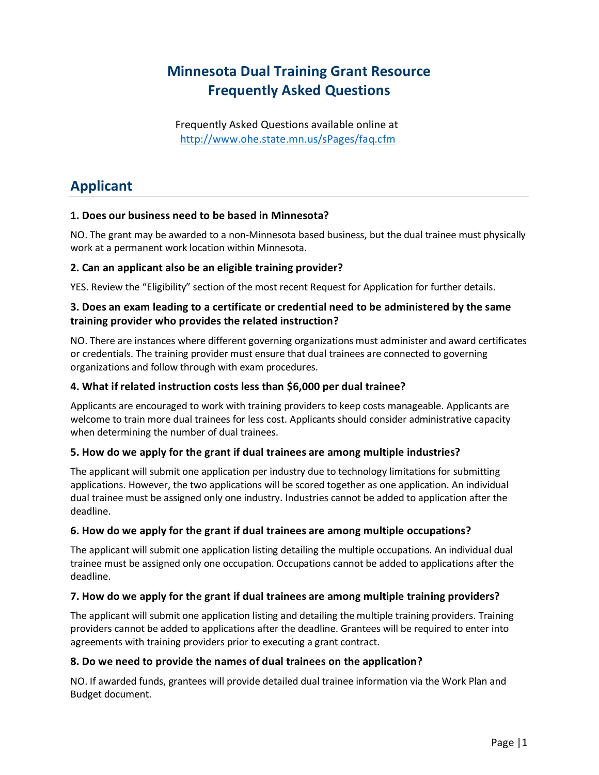# **Minnesota Dual Training Grant Resource Frequently Asked Questions**

Frequently Asked Questions available online at <http://www.ohe.state.mn.us/sPages/faq.cfm>

# **Applicant**

# **1. Does our business need to be based in Minnesota?**

NO. The grant may be awarded to a non-Minnesota based business, but the dual trainee must physically work at a permanent work location within Minnesota.

### **2. Can an applicant also be an eligible training provider?**

YES. Review the "Eligibility" section of the most recent Request for Application for further details.

# **3. Does an exam leading to a certificate or credential need to be administered by the same training provider who provides the related instruction?**

NO. There are instances where different governing organizations must administer and award certificates or credentials. The training provider must ensure that dual trainees are connected to governing organizations and follow through with exam procedures.

# **4. What if related instruction costs less than \$6,000 per dual trainee?**

Applicants are encouraged to work with training providers to keep costs manageable. Applicants are welcome to train more dual trainees for less cost. Applicants should consider administrative capacity when determining the number of dual trainees.

### **5. How do we apply for the grant if dual trainees are among multiple industries?**

The applicant will submit one application per industry due to technology limitations for submitting applications. However, the two applications will be scored together as one application. An individual dual trainee must be assigned only one industry. Industries cannot be added to application after the deadline.

### **6. How do we apply for the grant if dual trainees are among multiple occupations?**

The applicant will submit one application listing detailing the multiple occupations. An individual dual trainee must be assigned only one occupation. Occupations cannot be added to applications after the deadline.

### **7. How do we apply for the grant if dual trainees are among multiple training providers?**

The applicant will submit one application listing and detailing the multiple training providers. Training providers cannot be added to applications after the deadline. Grantees will be required to enter into agreements with training providers prior to executing a grant contract.

### **8. Do we need to provide the names of dual trainees on the application?**

NO. If awarded funds, grantees will provide detailed dual trainee information via the Work Plan and Budget document.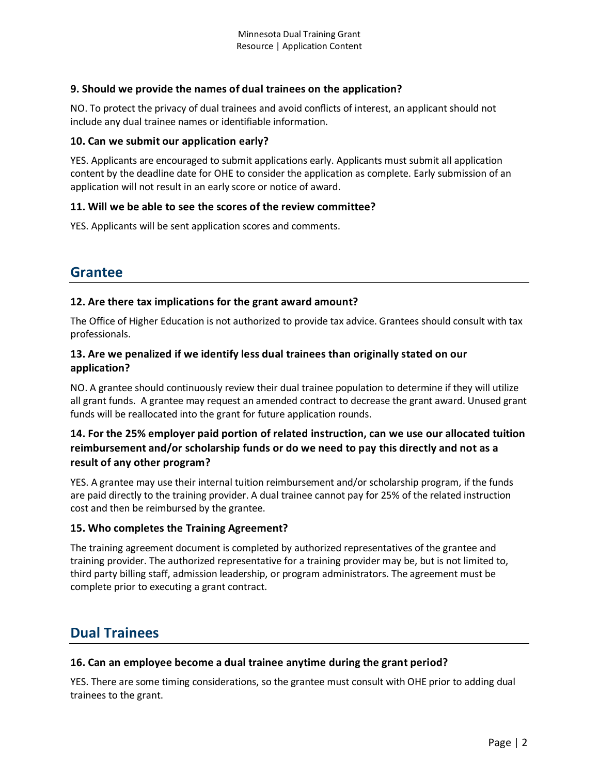# **9. Should we provide the names of dual trainees on the application?**

NO. To protect the privacy of dual trainees and avoid conflicts of interest, an applicant should not include any dual trainee names or identifiable information.

### **10. Can we submit our application early?**

YES. Applicants are encouraged to submit applications early. Applicants must submit all application content by the deadline date for OHE to consider the application as complete. Early submission of an application will not result in an early score or notice of award.

### **11. Will we be able to see the scores of the review committee?**

YES. Applicants will be sent application scores and comments.

# **Grantee**

### **12. Are there tax implications for the grant award amount?**

The Office of Higher Education is not authorized to provide tax advice. Grantees should consult with tax professionals.

## **13. Are we penalized if we identify less dual trainees than originally stated on our application?**

NO. A grantee should continuously review their dual trainee population to determine if they will utilize all grant funds. A grantee may request an amended contract to decrease the grant award. Unused grant funds will be reallocated into the grant for future application rounds.

# **14. For the 25% employer paid portion of related instruction, can we use our allocated tuition reimbursement and/or scholarship funds or do we need to pay this directly and not as a result of any other program?**

YES. A grantee may use their internal tuition reimbursement and/or scholarship program, if the funds are paid directly to the training provider. A dual trainee cannot pay for 25% of the related instruction cost and then be reimbursed by the grantee.

### **15. Who completes the Training Agreement?**

The training agreement document is completed by authorized representatives of the grantee and training provider. The authorized representative for a training provider may be, but is not limited to, third party billing staff, admission leadership, or program administrators. The agreement must be complete prior to executing a grant contract.

# **Dual Trainees**

### **16. Can an employee become a dual trainee anytime during the grant period?**

YES. There are some timing considerations, so the grantee must consult with OHE prior to adding dual trainees to the grant.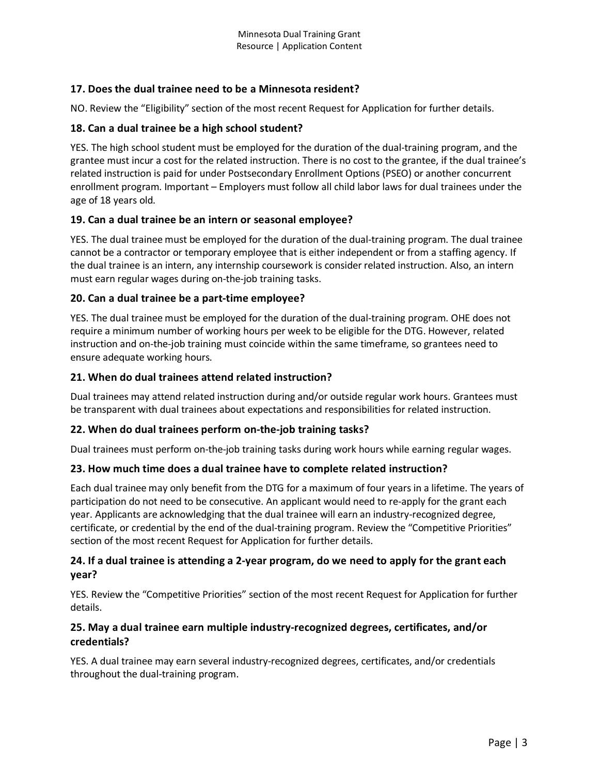# **17. Does the dual trainee need to be a Minnesota resident?**

NO. Review the "Eligibility" section of the most recent Request for Application for further details.

### **18. Can a dual trainee be a high school student?**

YES. The high school student must be employed for the duration of the dual-training program, and the grantee must incur a cost for the related instruction. There is no cost to the grantee, if the dual trainee's related instruction is paid for under Postsecondary Enrollment Options (PSEO) or another concurrent enrollment program. Important – Employers must follow all child labor laws for dual trainees under the age of 18 years old.

### **19. Can a dual trainee be an intern or seasonal employee?**

YES. The dual trainee must be employed for the duration of the dual-training program. The dual trainee cannot be a contractor or temporary employee that is either independent or from a staffing agency. If the dual trainee is an intern, any internship coursework is consider related instruction. Also, an intern must earn regular wages during on-the-job training tasks.

### **20. Can a dual trainee be a part-time employee?**

YES. The dual trainee must be employed for the duration of the dual-training program. OHE does not require a minimum number of working hours per week to be eligible for the DTG. However, related instruction and on-the-job training must coincide within the same timeframe, so grantees need to ensure adequate working hours.

### **21. When do dual trainees attend related instruction?**

Dual trainees may attend related instruction during and/or outside regular work hours. Grantees must be transparent with dual trainees about expectations and responsibilities for related instruction.

#### **22. When do dual trainees perform on-the-job training tasks?**

Dual trainees must perform on-the-job training tasks during work hours while earning regular wages.

#### **23. How much time does a dual trainee have to complete related instruction?**

Each dual trainee may only benefit from the DTG for a maximum of four years in a lifetime. The years of participation do not need to be consecutive. An applicant would need to re-apply for the grant each year. Applicants are acknowledging that the dual trainee will earn an industry-recognized degree, certificate, or credential by the end of the dual-training program. Review the "Competitive Priorities" section of the most recent Request for Application for further details.

### **24. If a dual trainee is attending a 2-year program, do we need to apply for the grant each year?**

YES. Review the "Competitive Priorities" section of the most recent Request for Application for further details.

### **25. May a dual trainee earn multiple industry-recognized degrees, certificates, and/or credentials?**

YES. A dual trainee may earn several industry-recognized degrees, certificates, and/or credentials throughout the dual-training program.